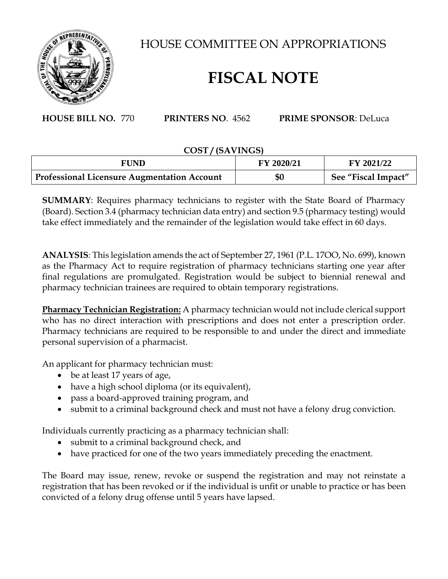

HOUSE COMMITTEE ON APPROPRIATIONS

## **FISCAL NOTE**

**HOUSE BILL NO.** 770 **PRINTERS NO**. 4562 **PRIME SPONSOR**: DeLuca

## **COST / (SAVINGS)**

| FUND                                               | FY 2020/21 | FY 2021/22          |
|----------------------------------------------------|------------|---------------------|
| <b>Professional Licensure Augmentation Account</b> | \$0        | See "Fiscal Impact" |

**SUMMARY**: Requires pharmacy technicians to register with the State Board of Pharmacy (Board). Section 3.4 (pharmacy technician data entry) and section 9.5 (pharmacy testing) would take effect immediately and the remainder of the legislation would take effect in 60 days.

**ANALYSIS**: This legislation amends the act of September 27, 1961 (P.L. 17OO, No. 699), known as the Pharmacy Act to require registration of pharmacy technicians starting one year after final regulations are promulgated. Registration would be subject to biennial renewal and pharmacy technician trainees are required to obtain temporary registrations.

**Pharmacy Technician Registration:** A pharmacy technician would not include clerical support who has no direct interaction with prescriptions and does not enter a prescription order. Pharmacy technicians are required to be responsible to and under the direct and immediate personal supervision of a pharmacist.

An applicant for pharmacy technician must:

- be at least 17 years of age,
- have a high school diploma (or its equivalent),
- pass a board-approved training program, and
- submit to a criminal background check and must not have a felony drug conviction.

Individuals currently practicing as a pharmacy technician shall:

- submit to a criminal background check, and
- have practiced for one of the two years immediately preceding the enactment.

The Board may issue, renew, revoke or suspend the registration and may not reinstate a registration that has been revoked or if the individual is unfit or unable to practice or has been convicted of a felony drug offense until 5 years have lapsed.